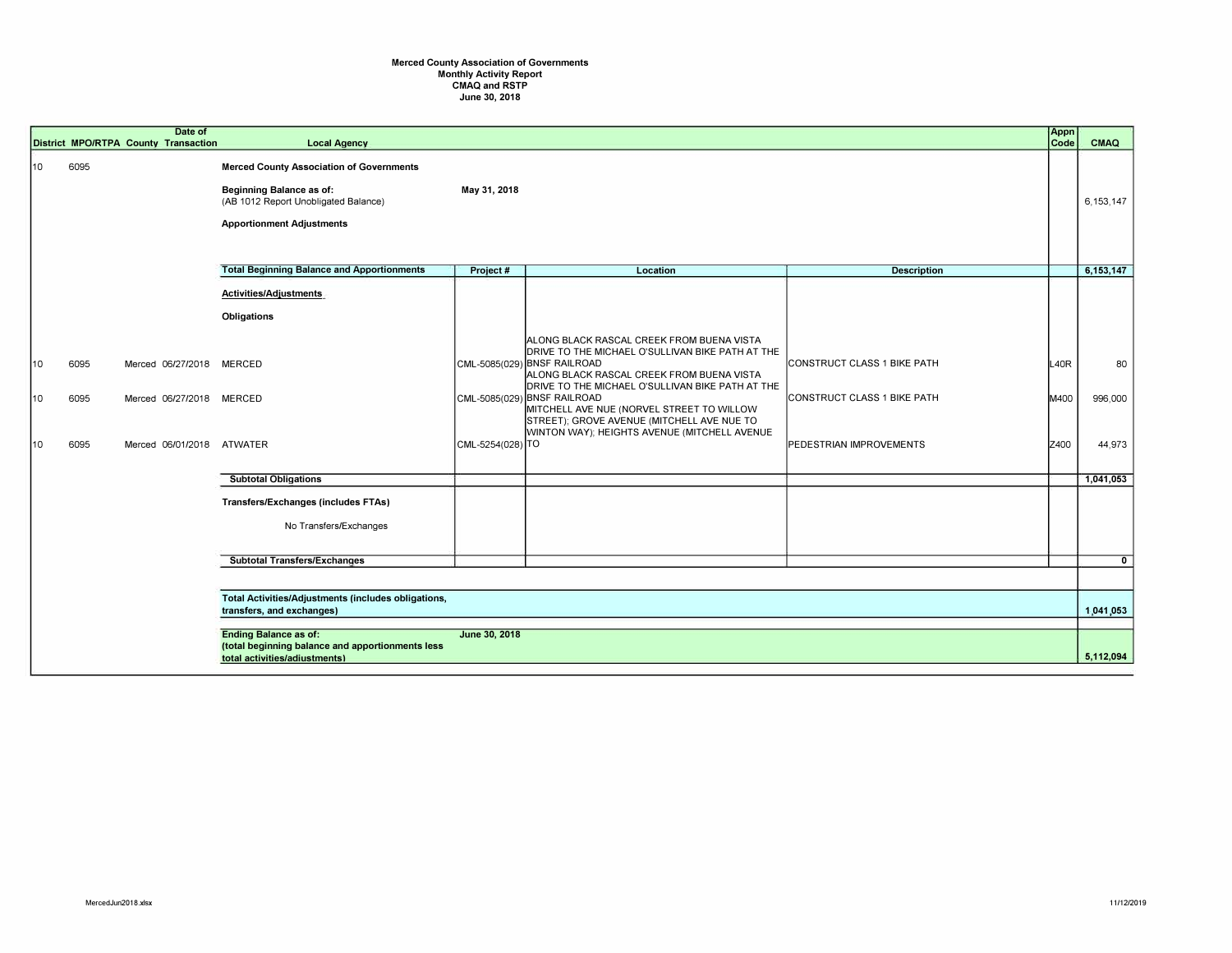## **Merced County Association of Governments Monthly Activity Report CMAQ and RSTP June 30, 2018**

|    |  |      | Date of<br>District MPO/RTPA County Transaction | <b>Local Agency</b>                                                                                                                                            |                  |                                                                                                                                                                                                                               |                                     | <b>Appn</b><br>Code | <b>CMAQ</b>  |
|----|--|------|-------------------------------------------------|----------------------------------------------------------------------------------------------------------------------------------------------------------------|------------------|-------------------------------------------------------------------------------------------------------------------------------------------------------------------------------------------------------------------------------|-------------------------------------|---------------------|--------------|
| 10 |  | 6095 |                                                 | <b>Merced County Association of Governments</b><br><b>Beginning Balance as of:</b><br>(AB 1012 Report Unobligated Balance)<br><b>Apportionment Adjustments</b> | May 31, 2018     |                                                                                                                                                                                                                               |                                     |                     | 6,153,147    |
|    |  |      |                                                 | <b>Total Beginning Balance and Apportionments</b>                                                                                                              | Project #        | Location                                                                                                                                                                                                                      | <b>Description</b>                  |                     | 6,153,147    |
|    |  |      |                                                 | <b>Activities/Adjustments</b><br>Obligations                                                                                                                   |                  |                                                                                                                                                                                                                               |                                     |                     |              |
| 10 |  | 6095 | Merced 06/27/2018                               | <b>MERCED</b>                                                                                                                                                  |                  | ALONG BLACK RASCAL CREEK FROM BUENA VISTA<br>DRIVE TO THE MICHAEL O'SULLIVAN BIKE PATH AT THE<br>CML-5085(029) BNSF RAILROAD<br>ALONG BLACK RASCAL CREEK FROM BUENA VISTA<br>DRIVE TO THE MICHAEL O'SULLIVAN BIKE PATH AT THE | <b>ICONSTRUCT CLASS 1 BIKE PATH</b> | <b>L40R</b>         | 80           |
| 10 |  | 6095 | Merced 06/27/2018 MERCED                        |                                                                                                                                                                |                  | CML-5085(029) BNSF RAILROAD<br>MITCHELL AVE NUE (NORVEL STREET TO WILLOW<br>STREET); GROVE AVENUE (MITCHELL AVE NUE TO<br>WINTON WAY); HEIGHTS AVENUE (MITCHELL AVENUE                                                        | CONSTRUCT CLASS 1 BIKE PATH         | M400                | 996,000      |
| 10 |  | 6095 | Merced 06/01/2018 ATWATER                       |                                                                                                                                                                | CML-5254(028) TO |                                                                                                                                                                                                                               | <b>PEDESTRIAN IMPROVEMENTS</b>      | Z400                | 44,973       |
|    |  |      |                                                 | <b>Subtotal Obligations</b>                                                                                                                                    |                  |                                                                                                                                                                                                                               |                                     |                     | 1,041,053    |
|    |  |      |                                                 | <b>Transfers/Exchanges (includes FTAs)</b><br>No Transfers/Exchanges                                                                                           |                  |                                                                                                                                                                                                                               |                                     |                     |              |
|    |  |      |                                                 | <b>Subtotal Transfers/Exchanges</b>                                                                                                                            |                  |                                                                                                                                                                                                                               |                                     |                     | $\mathbf{0}$ |
|    |  |      |                                                 |                                                                                                                                                                |                  |                                                                                                                                                                                                                               |                                     |                     |              |
|    |  |      |                                                 | Total Activities/Adjustments (includes obligations,<br>transfers, and exchanges)                                                                               |                  |                                                                                                                                                                                                                               |                                     |                     | 1.041.053    |
|    |  |      |                                                 | <b>Ending Balance as of:</b><br>June 30, 2018<br>(total beginning balance and apportionments less<br>total activities/adiustments)                             |                  |                                                                                                                                                                                                                               |                                     |                     |              |